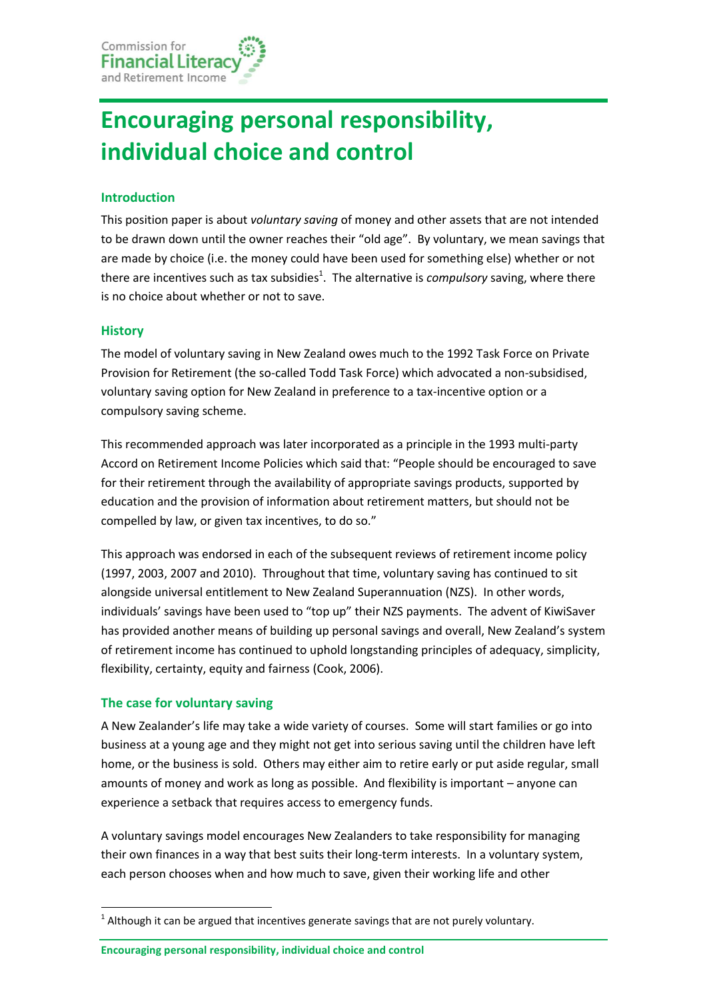# **Encouraging personal responsibility, individual choice and control**

## **Introduction**

This position paper is about *voluntary saving* of money and other assets that are not intended to be drawn down until the owner reaches their "old age". By voluntary, we mean savings that are made by choice (i.e. the money could have been used for something else) whether or not there are incentives such as tax subsidies<sup>1</sup>. The alternative is *compulsory* saving, where there is no choice about whether or not to save.

### **History**

The model of voluntary saving in New Zealand owes much to the 1992 Task Force on Private Provision for Retirement (the so-called Todd Task Force) which advocated a non-subsidised, voluntary saving option for New Zealand in preference to a tax-incentive option or a compulsory saving scheme.

This recommended approach was later incorporated as a principle in the 1993 multi-party Accord on Retirement Income Policies which said that: "People should be encouraged to save for their retirement through the availability of appropriate savings products, supported by education and the provision of information about retirement matters, but should not be compelled by law, or given tax incentives, to do so."

This approach was endorsed in each of the subsequent reviews of retirement income policy (1997, 2003, 2007 and 2010). Throughout that time, voluntary saving has continued to sit alongside universal entitlement to New Zealand Superannuation (NZS). In other words, individuals' savings have been used to "top up" their NZS payments. The advent of KiwiSaver has provided another means of building up personal savings and overall, New Zealand's system of retirement income has continued to uphold longstanding principles of adequacy, simplicity, flexibility, certainty, equity and fairness (Cook, 2006).

### **The case for voluntary saving**

**.** 

A New Zealander's life may take a wide variety of courses. Some will start families or go into business at a young age and they might not get into serious saving until the children have left home, or the business is sold. Others may either aim to retire early or put aside regular, small amounts of money and work as long as possible. And flexibility is important – anyone can experience a setback that requires access to emergency funds.

A voluntary savings model encourages New Zealanders to take responsibility for managing their own finances in a way that best suits their long-term interests. In a voluntary system, each person chooses when and how much to save, given their working life and other

**Encouraging personal responsibility, individual choice and control**

 $^1$  Although it can be argued that incentives generate savings that are not purely voluntary.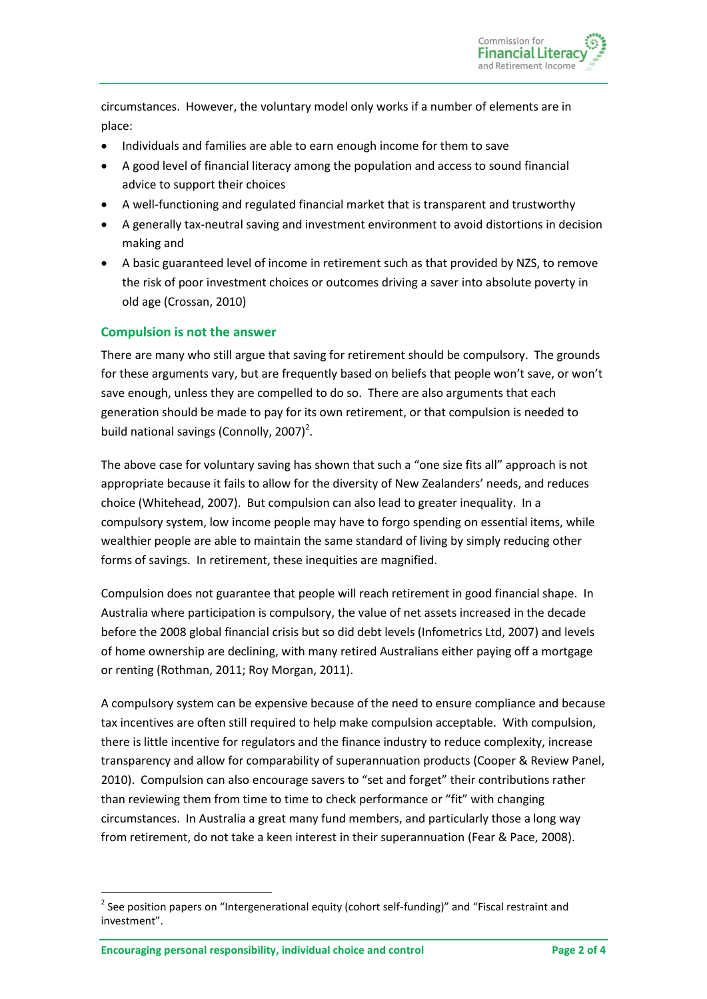

circumstances. However, the voluntary model only works if a number of elements are in place:

- Individuals and families are able to earn enough income for them to save
- A good level of financial literacy among the population and access to sound financial advice to support their choices
- A well-functioning and regulated financial market that is transparent and trustworthy
- A generally tax-neutral saving and investment environment to avoid distortions in decision making and
- A basic guaranteed level of income in retirement such as that provided by NZS, to remove the risk of poor investment choices or outcomes driving a saver into absolute poverty in old age (Crossan, 2010)

#### **Compulsion is not the answer**

There are many who still argue that saving for retirement should be compulsory. The grounds for these arguments vary, but are frequently based on beliefs that people won't save, or won't save enough, unless they are compelled to do so. There are also arguments that each generation should be made to pay for its own retirement, or that compulsion is needed to build national savings (Connolly, 2007)<sup>2</sup>.

The above case for voluntary saving has shown that such a "one size fits all" approach is not appropriate because it fails to allow for the diversity of New Zealanders' needs, and reduces choice (Whitehead, 2007). But compulsion can also lead to greater inequality. In a compulsory system, low income people may have to forgo spending on essential items, while wealthier people are able to maintain the same standard of living by simply reducing other forms of savings. In retirement, these inequities are magnified.

Compulsion does not guarantee that people will reach retirement in good financial shape. In Australia where participation is compulsory, the value of net assets increased in the decade before the 2008 global financial crisis but so did debt levels (Infometrics Ltd, 2007) and levels of home ownership are declining, with many retired Australians either paying off a mortgage or renting (Rothman, 2011; Roy Morgan, 2011).

A compulsory system can be expensive because of the need to ensure compliance and because tax incentives are often still required to help make compulsion acceptable. With compulsion, there is little incentive for regulators and the finance industry to reduce complexity, increase transparency and allow for comparability of superannuation products (Cooper & Review Panel, 2010). Compulsion can also encourage savers to "set and forget" their contributions rather than reviewing them from time to time to check performance or "fit" with changing circumstances. In Australia a great many fund members, and particularly those a long way from retirement, do not take a keen interest in their superannuation (Fear & Pace, 2008).

**.** 

 $2$  See position papers on "Intergenerational equity (cohort self-funding)" and "Fiscal restraint and investment".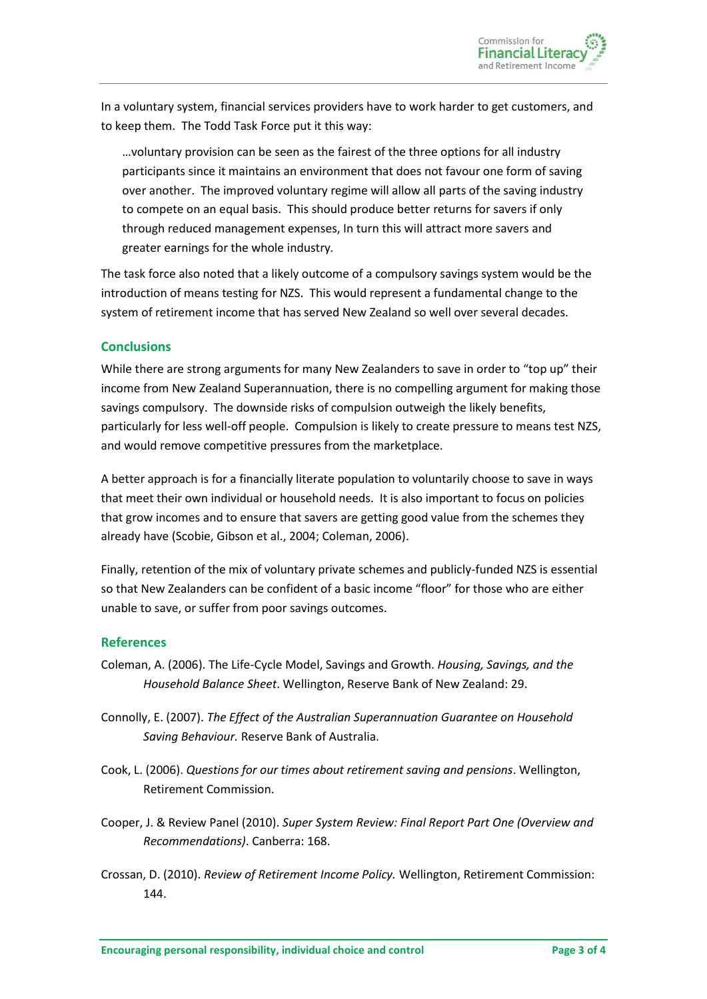In a voluntary system, financial services providers have to work harder to get customers, and to keep them. The Todd Task Force put it this way:

…voluntary provision can be seen as the fairest of the three options for all industry participants since it maintains an environment that does not favour one form of saving over another. The improved voluntary regime will allow all parts of the saving industry to compete on an equal basis. This should produce better returns for savers if only through reduced management expenses, In turn this will attract more savers and greater earnings for the whole industry*.*

The task force also noted that a likely outcome of a compulsory savings system would be the introduction of means testing for NZS. This would represent a fundamental change to the system of retirement income that has served New Zealand so well over several decades.

### **Conclusions**

While there are strong arguments for many New Zealanders to save in order to "top up" their income from New Zealand Superannuation, there is no compelling argument for making those savings compulsory. The downside risks of compulsion outweigh the likely benefits, particularly for less well-off people. Compulsion is likely to create pressure to means test NZS, and would remove competitive pressures from the marketplace.

A better approach is for a financially literate population to voluntarily choose to save in ways that meet their own individual or household needs. It is also important to focus on policies that grow incomes and to ensure that savers are getting good value from the schemes they already have (Scobie, Gibson et al., 2004; Coleman, 2006).

Finally, retention of the mix of voluntary private schemes and publicly-funded NZS is essential so that New Zealanders can be confident of a basic income "floor" for those who are either unable to save, or suffer from poor savings outcomes.

### **References**

- Coleman, A. (2006). The Life-Cycle Model, Savings and Growth. *Housing, Savings, and the Household Balance Sheet*. Wellington, Reserve Bank of New Zealand: 29.
- Connolly, E. (2007). *The Effect of the Australian Superannuation Guarantee on Household Saving Behaviour.* Reserve Bank of Australia.
- Cook, L. (2006). *Questions for our times about retirement saving and pensions*. Wellington, Retirement Commission.
- Cooper, J. & Review Panel (2010). *Super System Review: Final Report Part One (Overview and Recommendations)*. Canberra: 168.
- Crossan, D. (2010). *Review of Retirement Income Policy.* Wellington, Retirement Commission: 144.